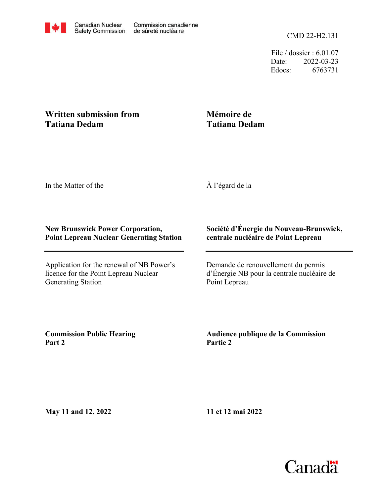File / dossier : 6.01.07 Date: 2022-03-23 Edocs: 6763731

## **Written submission from Tatiana Dedam**

## **Mémoire de Tatiana Dedam**

In the Matter of the

À l'égard de la

## **New Brunswick Power Corporation, Point Lepreau Nuclear Generating Station**

Application for the renewal of NB Power's licence for the Point Lepreau Nuclear Generating Station

## **Société d'Énergie du Nouveau-Brunswick, centrale nucléaire de Point Lepreau**

Demande de renouvellement du permis d'Énergie NB pour la centrale nucléaire de Point Lepreau

**Commission Public Hearing Part 2**

**Audience publique de la Commission Partie 2**

**May 11 and 12, 2022**

**11 et 12 mai 2022**